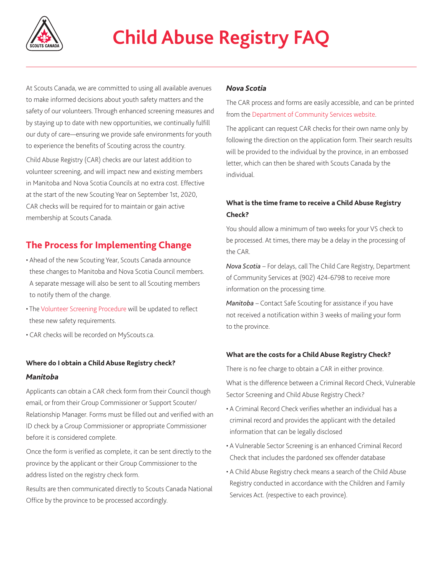

At Scouts Canada, we are committed to using all available avenues to make informed decisions about youth safety matters and the safety of our volunteers. Through enhanced screening measures and by staying up to date with new opportunities, we continually fulfill our duty of care—ensuring we provide safe environments for youth to experience the benefits of Scouting across the country. Child Abuse Registry (CAR) checks are our latest addition to volunteer screening, and will impact new and existing members in Manitoba and Nova Scotia Councils at no extra cost. Effective at the start of the new Scouting Year on September 1st, 2020, CAR checks will be required for to maintain or gain active membership at Scouts Canada.

## **The Process for Implementing Change**

- Ahead of the new Scouting Year, Scouts Canada announce these changes to Manitoba and Nova Scotia Council members. A separate message will also be sent to all Scouting members to notify them of the change.
- The [Volunteer Screening Procedure](https://www.scouts.ca/resources/bpp/procedures/volunteer-screening-procedure.html) will be updated to reflect these new safety requirements.
- CAR checks will be recorded on MyScouts.ca.

## **Where do I obtain a Child Abuse Registry check?** *Manitoba*

Applicants can obtain a CAR check form from their Council though email, or from their Group Commissioner or Support Scouter/ Relationship Manager. Forms must be filled out and verified with an ID check by a Group Commissioner or appropriate Commissioner before it is considered complete.

Once the form is verified as complete, it can be sent directly to the province by the applicant or their Group Commissioner to the address listed on the registry check form.

Results are then communicated directly to Scouts Canada National Office by the province to be processed accordingly.

### *Nova Scotia*

The CAR process and forms are easily accessible, and can be printed from the [Department of Community Services website.](https://novascotia.ca/coms/families/abuse/ChildAbuseRegister.html)

The applicant can request CAR checks for their own name only by following the direction on the application form. Their search results will be provided to the individual by the province, in an embossed letter, which can then be shared with Scouts Canada by the individual.

## **What is the time frame to receive a Child Abuse Registry Check?**

You should allow a minimum of two weeks for your VS check to be processed. At times, there may be a delay in the processing of the CAR.

*Nova Scotia* – For delays, call The Child Care Registry, Department of Community Services at (902) 424-6798 to receive more information on the processing time.

*Manitoba* – Contact Safe Scouting for assistance if you have not received a notification within 3 weeks of mailing your form to the province.

## **What are the costs for a Child Abuse Registry Check?**

There is no fee charge to obtain a CAR in either province.

What is the difference between a Criminal Record Check, Vulnerable Sector Screening and Child Abuse Registry Check?

- A Criminal Record Check verifies whether an individual has a criminal record and provides the applicant with the detailed information that can be legally disclosed
- A Vulnerable Sector Screening is an enhanced Criminal Record Check that includes the pardoned sex offender database
- A Child Abuse Registry check means a search of the Child Abuse Registry conducted in accordance with the Children and Family Services Act. (respective to each province).